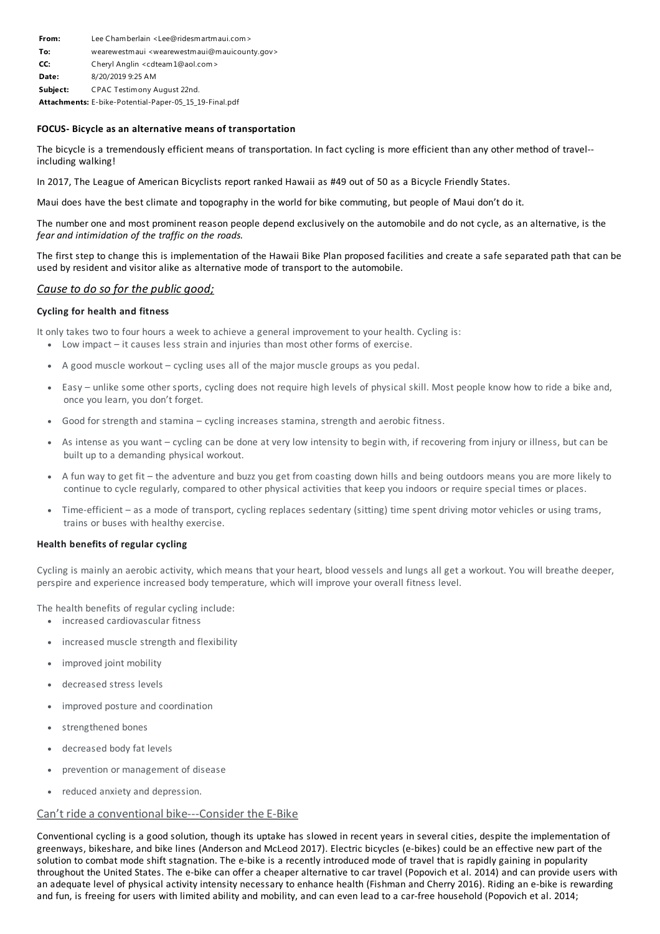| From:    | Lee Chamberlain <lee@ridesmartmaui.com></lee@ridesmartmaui.com>             |
|----------|-----------------------------------------------------------------------------|
| To:      | wearewestmaui <wearewestmaui@mauicounty.gov></wearewestmaui@mauicounty.gov> |
| CC:      | Cheryl Anglin <cdteam1@aol.com></cdteam1@aol.com>                           |
| Date:    | 8/20/2019 9:25 AM                                                           |
| Subject: | CPAC Testimony August 22nd.                                                 |
|          | Attachments: E-bike-Potential-Paper-05_15_19-Final.pdf                      |

## **FOCUS- Bicycle as an alternative means of transportation**

The bicycle is a tremendously efficient means of transportation. In fact cycling is more efficient than any other method of travel- including walking!

In 2017, The League of American Bicyclists report ranked Hawaii as #49 out of 50 as a Bicycle Friendly States.

Maui does have the best climate and topography in the world for bike commuting, but people of Maui don't do it.

The number one and most prominent reason people depend exclusively on the automobile and do not cycle, as an alternative, is the *fear and intimidation of the traffic on the roads.*

The first step to change this is implementation of the Hawaii Bike Plan proposed facilities and create a safe separated path that can be used by resident and visitoralike as alternative mode of transport to the automobile.

# *Causeto do so for the public good;*

## **Cycling for health and fitness**

It only takes two to four hours a week to achieve a general improvement to your health. Cycling is:

- · Low impact it causes less strain and injuries than most other forms of exercise.
- · A good muscle workout cycling uses all of the major muscle groups as you pedal.
- · Easy unlike some other sports, cycling does not require high levels of physical skill. Most people know how to ride a bike and, once you learn, you don't forget.
- Good for strength and stamina cycling increases stamina, strength and aerobic fitness.
- As intense as you want cycling can be done at very low intensity to begin with, if recovering from injury or illness, but can be built up to a demanding physical workout.
- · A fun way to get fit the adventure and buzz you get from coasting down hills and being outdoors means you are more likely to continue to cycle regularly, compared to other physical activities that keep you indoors or require special times or places.
- · Time-efficient as a mode of transport, cycling replaces sedentary (sitting) time spent driving motor vehicles or using trams, trains or buses with healthy exercise.

#### **Health benefits of regular cycling**

Cycling is mainly an aerobic activity, which means that your heart, blood vessels and lungs all get a workout. You will breathe deeper, perspire and experience increased body temperature, which will improve your overall fitness level.

The health benefits of regular cycling include:

- · increased cardiovascular fitness
- increased muscle strength and flexibility
- improved joint mobility
- decreased stress levels
- improved posture and coordination
- strengthened bones
- decreased body fat levels
- prevention or management of disease
- reduced anxiety and depression.

## Can't ride aconventional bike---Consider the E-Bike

Conventional cycling is a good solution, though its uptake has slowed in recent years in several cities, despite the implementation of greenways, bikeshare, and bike lines (Anderson and McLeod 2017). Electric bicycles (e-bikes) could be an effective new part of the solution to combat mode shift stagnation. The e-bike is a recently introduced mode of travel that is rapidly gaining in popularity throughout the United States. The e-bike can offera cheaperalternative to car travel (Popovich et al. 2014) and can provide users with an adequate level of physical activity intensity necessary to enhance health (Fishman and Cherry 2016). Riding an e-bike is rewarding and fun, is freeing for users with limited ability and mobility, and can even lead to a car-free household (Popovich et al. 2014;